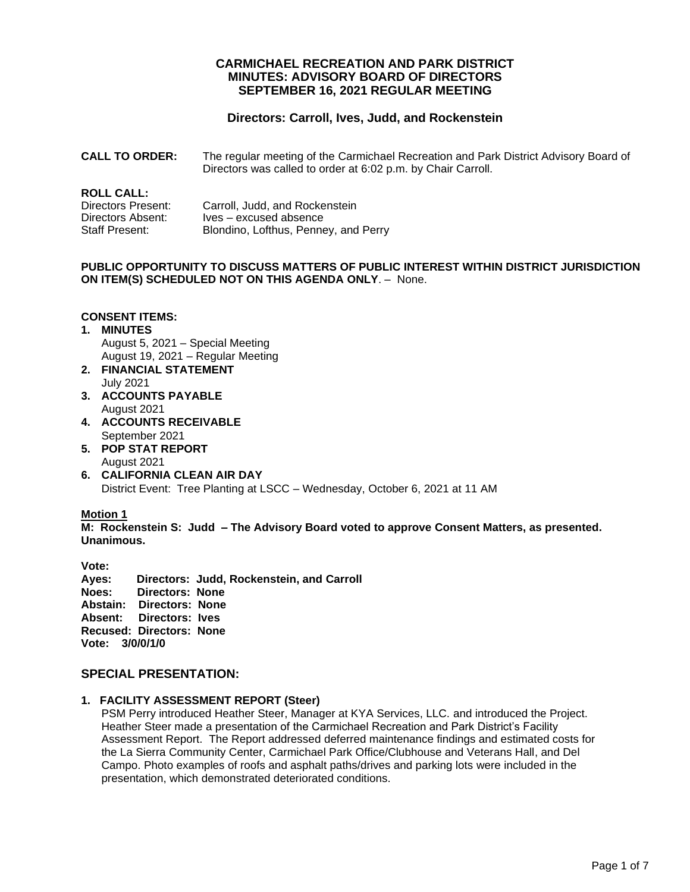## **CARMICHAEL RECREATION AND PARK DISTRICT MINUTES: ADVISORY BOARD OF DIRECTORS SEPTEMBER 16, 2021 REGULAR MEETING**

# **Directors: Carroll, Ives, Judd, and Rockenstein**

**CALL TO ORDER:** The regular meeting of the Carmichael Recreation and Park District Advisory Board of Directors was called to order at 6:02 p.m. by Chair Carroll.

## **ROLL CALL:**

| Directors Present: | Carroll, Judd, and Rockenstein       |
|--------------------|--------------------------------------|
| Directors Absent:  | Ives – excused absence               |
| Staff Present:     | Blondino, Lofthus, Penney, and Perry |

#### **PUBLIC OPPORTUNITY TO DISCUSS MATTERS OF PUBLIC INTEREST WITHIN DISTRICT JURISDICTION ON ITEM(S) SCHEDULED NOT ON THIS AGENDA ONLY**. – None.

## **CONSENT ITEMS:**

#### **1. MINUTES** August 5, 2021 – Special Meeting August 19, 2021 – Regular Meeting

- **2. FINANCIAL STATEMENT** July 2021
- **3. ACCOUNTS PAYABLE**  August 2021
- **4. ACCOUNTS RECEIVABLE** September 2021
- **5. POP STAT REPORT** August 2021
- **6. CALIFORNIA CLEAN AIR DAY** District Event: Tree Planting at LSCC – Wednesday, October 6, 2021 at 11 AM

#### **Motion 1**

**M: Rockenstein S: Judd – The Advisory Board voted to approve Consent Matters, as presented. Unanimous.**

**Vote: Ayes: Directors: Judd, Rockenstein, and Carroll Noes: Directors: None Abstain: Directors: None Absent: Directors: Ives Recused: Directors: None Vote: 3/0/0/1/0**

## **SPECIAL PRESENTATION:**

#### **1. FACILITY ASSESSMENT REPORT (Steer)**

PSM Perry introduced Heather Steer, Manager at KYA Services, LLC. and introduced the Project. Heather Steer made a presentation of the Carmichael Recreation and Park District's Facility Assessment Report. The Report addressed deferred maintenance findings and estimated costs for the La Sierra Community Center, Carmichael Park Office/Clubhouse and Veterans Hall, and Del Campo. Photo examples of roofs and asphalt paths/drives and parking lots were included in the presentation, which demonstrated deteriorated conditions.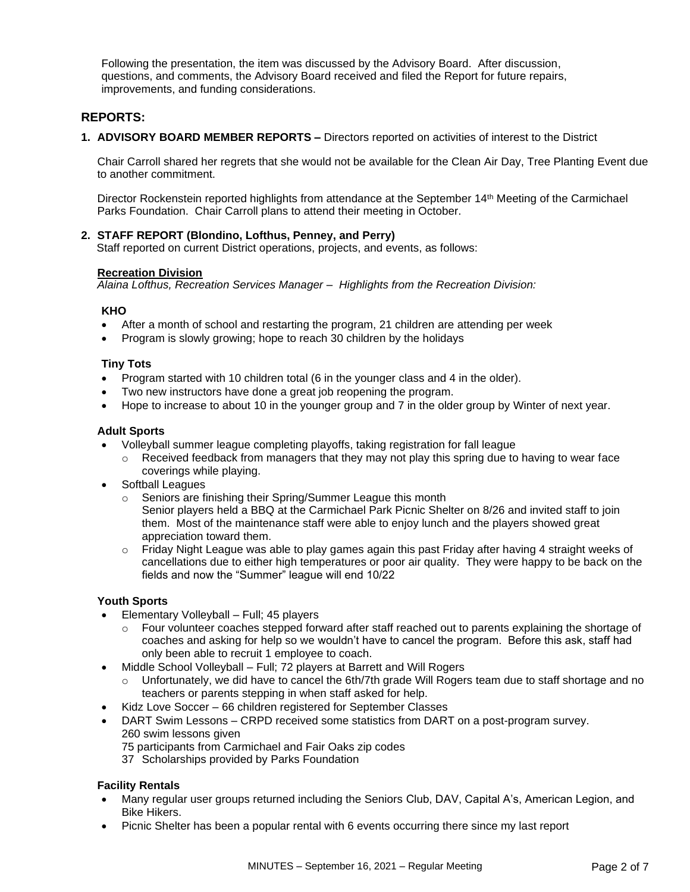Following the presentation, the item was discussed by the Advisory Board. After discussion, questions, and comments, the Advisory Board received and filed the Report for future repairs, improvements, and funding considerations.

## **REPORTS:**

**1. ADVISORY BOARD MEMBER REPORTS –** Directors reported on activities of interest to the District

Chair Carroll shared her regrets that she would not be available for the Clean Air Day, Tree Planting Event due to another commitment.

Director Rockenstein reported highlights from attendance at the September 14th Meeting of the Carmichael Parks Foundation. Chair Carroll plans to attend their meeting in October.

## **2. STAFF REPORT (Blondino, Lofthus, Penney, and Perry)**

Staff reported on current District operations, projects, and events, as follows:

#### **Recreation Division**

*Alaina Lofthus, Recreation Services Manager – Highlights from the Recreation Division:*

#### **KHO**

- After a month of school and restarting the program, 21 children are attending per week
- Program is slowly growing; hope to reach 30 children by the holidays

## **Tiny Tots**

- Program started with 10 children total (6 in the younger class and 4 in the older).
- Two new instructors have done a great job reopening the program.
- Hope to increase to about 10 in the younger group and 7 in the older group by Winter of next year.

## **Adult Sports**

- Volleyball summer league completing playoffs, taking registration for fall league
	- $\circ$  Received feedback from managers that they may not play this spring due to having to wear face coverings while playing.
- **Softball Leagues** 
	- o Seniors are finishing their Spring/Summer League this month
		- Senior players held a BBQ at the Carmichael Park Picnic Shelter on 8/26 and invited staff to join them. Most of the maintenance staff were able to enjoy lunch and the players showed great appreciation toward them.
	- $\circ$  Friday Night League was able to play games again this past Friday after having 4 straight weeks of cancellations due to either high temperatures or poor air quality. They were happy to be back on the fields and now the "Summer" league will end 10/22

## **Youth Sports**

- Elementary Volleyball Full; 45 players
	- Four volunteer coaches stepped forward after staff reached out to parents explaining the shortage of coaches and asking for help so we wouldn't have to cancel the program. Before this ask, staff had only been able to recruit 1 employee to coach.
- Middle School Volleyball Full; 72 players at Barrett and Will Rogers
	- Unfortunately, we did have to cancel the 6th/7th grade Will Rogers team due to staff shortage and no teachers or parents stepping in when staff asked for help.
- Kidz Love Soccer 66 children registered for September Classes
- DART Swim Lessons CRPD received some statistics from DART on a post-program survey. 260 swim lessons given
	- 75 participants from Carmichael and Fair Oaks zip codes
	- 37 Scholarships provided by Parks Foundation

#### **Facility Rentals**

- Many regular user groups returned including the Seniors Club, DAV, Capital A's, American Legion, and Bike Hikers.
- Picnic Shelter has been a popular rental with 6 events occurring there since my last report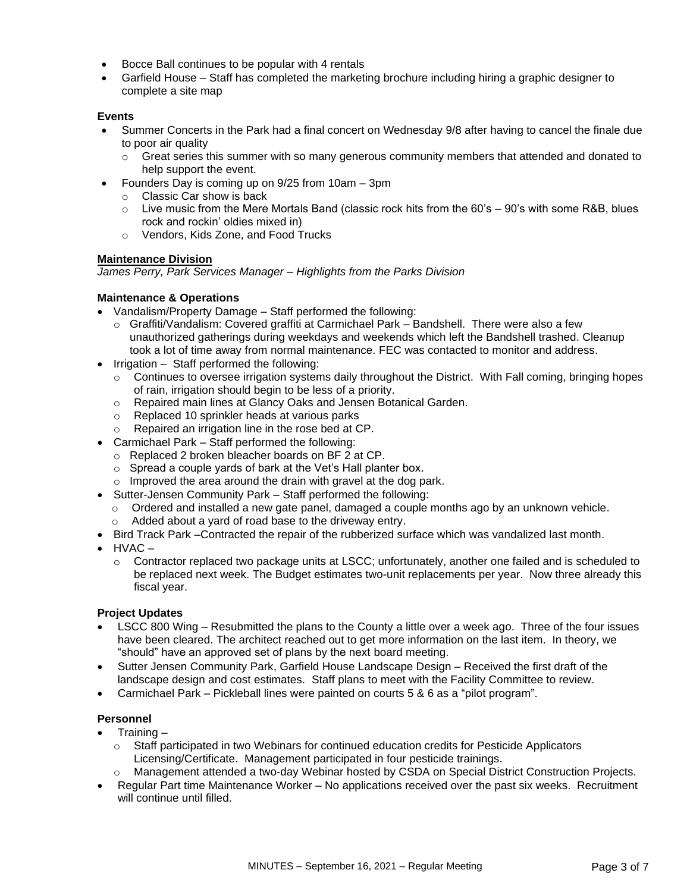- Bocce Ball continues to be popular with 4 rentals
- Garfield House Staff has completed the marketing brochure including hiring a graphic designer to complete a site map

#### **Events**

- Summer Concerts in the Park had a final concert on Wednesday 9/8 after having to cancel the finale due to poor air quality
	- $\circ$  Great series this summer with so many generous community members that attended and donated to help support the event.
	- Founders Day is coming up on 9/25 from 10am 3pm
	- o Classic Car show is back
	- $\circ$  Live music from the Mere Mortals Band (classic rock hits from the 60's 90's with some R&B, blues rock and rockin' oldies mixed in)
	- o Vendors, Kids Zone, and Food Trucks

#### **Maintenance Division**

*James Perry, Park Services Manager – Highlights from the Parks Division*

## **Maintenance & Operations**

- Vandalism/Property Damage Staff performed the following:
	- o Graffiti/Vandalism: Covered graffiti at Carmichael Park Bandshell. There were also a few unauthorized gatherings during weekdays and weekends which left the Bandshell trashed. Cleanup took a lot of time away from normal maintenance. FEC was contacted to monitor and address.
- Irrigation Staff performed the following:
	- $\circ$  Continues to oversee irrigation systems daily throughout the District. With Fall coming, bringing hopes of rain, irrigation should begin to be less of a priority.
	- o Repaired main lines at Glancy Oaks and Jensen Botanical Garden.
	- o Replaced 10 sprinkler heads at various parks
	- o Repaired an irrigation line in the rose bed at CP.
- Carmichael Park Staff performed the following:
	- o Replaced 2 broken bleacher boards on BF 2 at CP.
	- o Spread a couple yards of bark at the Vet's Hall planter box.
	- o Improved the area around the drain with gravel at the dog park.
- Sutter-Jensen Community Park Staff performed the following:
	- $\circ$  Ordered and installed a new gate panel, damaged a couple months ago by an unknown vehicle.
	- o Added about a yard of road base to the driveway entry.
- Bird Track Park –Contracted the repair of the rubberized surface which was vandalized last month.
- $\bullet$  HVAC
	- $\circ$  Contractor replaced two package units at LSCC; unfortunately, another one failed and is scheduled to be replaced next week. The Budget estimates two-unit replacements per year. Now three already this fiscal year.

#### **Project Updates**

- LSCC 800 Wing Resubmitted the plans to the County a little over a week ago. Three of the four issues have been cleared. The architect reached out to get more information on the last item. In theory, we "should" have an approved set of plans by the next board meeting.
- Sutter Jensen Community Park, Garfield House Landscape Design Received the first draft of the landscape design and cost estimates. Staff plans to meet with the Facility Committee to review.
- Carmichael Park Pickleball lines were painted on courts 5 & 6 as a "pilot program".

## **Personnel**

- Training
	- $\circ$  Staff participated in two Webinars for continued education credits for Pesticide Applicators Licensing/Certificate. Management participated in four pesticide trainings.
	- o Management attended a two-day Webinar hosted by CSDA on Special District Construction Projects.
- Regular Part time Maintenance Worker No applications received over the past six weeks. Recruitment will continue until filled.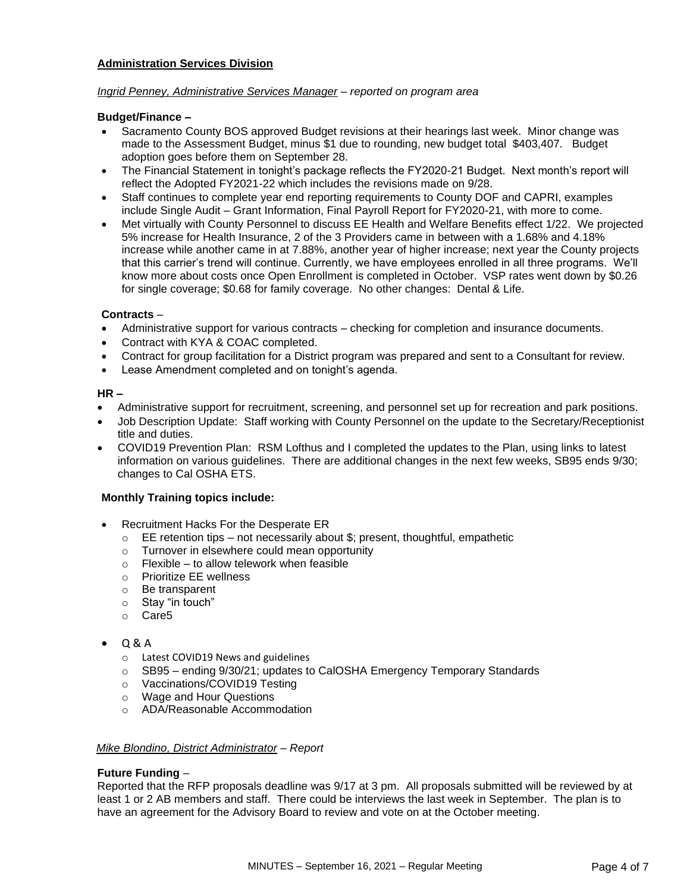#### **Administration Services Division**

#### *Ingrid Penney, Administrative Services Manager – reported on program area*

#### **Budget/Finance –**

- Sacramento County BOS approved Budget revisions at their hearings last week. Minor change was made to the Assessment Budget, minus \$1 due to rounding, new budget total \$403,407. Budget adoption goes before them on September 28.
- The Financial Statement in tonight's package reflects the FY2020-21 Budget. Next month's report will reflect the Adopted FY2021-22 which includes the revisions made on 9/28.
- Staff continues to complete year end reporting requirements to County DOF and CAPRI, examples include Single Audit – Grant Information, Final Payroll Report for FY2020-21, with more to come.
- Met virtually with County Personnel to discuss EE Health and Welfare Benefits effect 1/22. We projected 5% increase for Health Insurance, 2 of the 3 Providers came in between with a 1.68% and 4.18% increase while another came in at 7.88%, another year of higher increase; next year the County projects that this carrier's trend will continue. Currently, we have employees enrolled in all three programs. We'll know more about costs once Open Enrollment is completed in October. VSP rates went down by \$0.26 for single coverage; \$0.68 for family coverage. No other changes: Dental & Life.

## **Contracts** –

- Administrative support for various contracts checking for completion and insurance documents.
- Contract with KYA & COAC completed.
- Contract for group facilitation for a District program was prepared and sent to a Consultant for review.
- Lease Amendment completed and on tonight's agenda.

#### **HR –**

- Administrative support for recruitment, screening, and personnel set up for recreation and park positions.
- Job Description Update: Staff working with County Personnel on the update to the Secretary/Receptionist title and duties.
- COVID19 Prevention Plan: RSM Lofthus and I completed the updates to the Plan, using links to latest information on various guidelines. There are additional changes in the next few weeks, SB95 ends 9/30; changes to Cal OSHA ETS.

#### **Monthly Training topics include:**

- Recruitment Hacks For the Desperate ER
	- $\circ$  EE retention tips not necessarily about \$; present, thoughtful, empathetic
	- o Turnover in elsewhere could mean opportunity
	- $\circ$  Flexible to allow telework when feasible
	- o Prioritize EE wellness
	- o Be transparent
	- o Stay "in touch"
	- o Care5

## • Q & A

- o Latest COVID19 News and guidelines
- o SB95 ending 9/30/21; updates to CalOSHA Emergency Temporary Standards
- o Vaccinations/COVID19 Testing
- o Wage and Hour Questions
- o ADA/Reasonable Accommodation

#### *Mike Blondino, District Administrator – Report*

#### **Future Funding** –

Reported that the RFP proposals deadline was 9/17 at 3 pm. All proposals submitted will be reviewed by at least 1 or 2 AB members and staff. There could be interviews the last week in September. The plan is to have an agreement for the Advisory Board to review and vote on at the October meeting.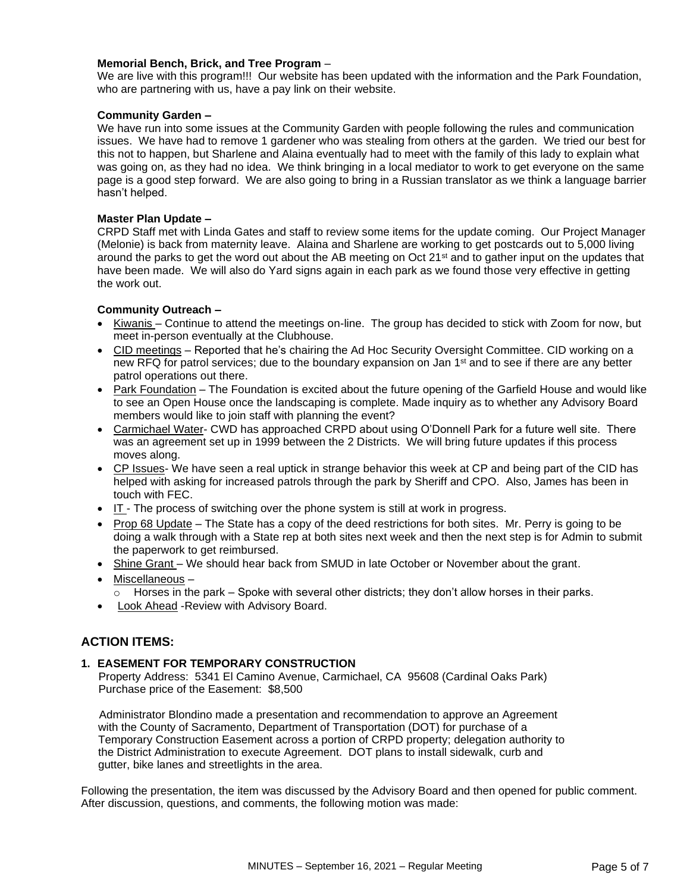#### **Memorial Bench, Brick, and Tree Program** –

We are live with this program!!! Our website has been updated with the information and the Park Foundation, who are partnering with us, have a pay link on their website.

#### **Community Garden –**

We have run into some issues at the Community Garden with people following the rules and communication issues. We have had to remove 1 gardener who was stealing from others at the garden. We tried our best for this not to happen, but Sharlene and Alaina eventually had to meet with the family of this lady to explain what was going on, as they had no idea. We think bringing in a local mediator to work to get everyone on the same page is a good step forward. We are also going to bring in a Russian translator as we think a language barrier hasn't helped.

#### **Master Plan Update –**

CRPD Staff met with Linda Gates and staff to review some items for the update coming. Our Project Manager (Melonie) is back from maternity leave. Alaina and Sharlene are working to get postcards out to 5,000 living around the parks to get the word out about the AB meeting on Oct 21st and to gather input on the updates that have been made. We will also do Yard signs again in each park as we found those very effective in getting the work out.

#### **Community Outreach –**

- Kiwanis Continue to attend the meetings on-line. The group has decided to stick with Zoom for now, but meet in-person eventually at the Clubhouse.
- CID meetings Reported that he's chairing the Ad Hoc Security Oversight Committee. CID working on a new RFQ for patrol services; due to the boundary expansion on Jan 1<sup>st</sup> and to see if there are any better patrol operations out there.
- Park Foundation The Foundation is excited about the future opening of the Garfield House and would like to see an Open House once the landscaping is complete. Made inquiry as to whether any Advisory Board members would like to join staff with planning the event?
- Carmichael Water- CWD has approached CRPD about using O'Donnell Park for a future well site. There was an agreement set up in 1999 between the 2 Districts. We will bring future updates if this process moves along.
- CP Issues- We have seen a real uptick in strange behavior this week at CP and being part of the CID has helped with asking for increased patrols through the park by Sheriff and CPO. Also, James has been in touch with FEC.
- IT The process of switching over the phone system is still at work in progress.
- Prop 68 Update The State has a copy of the deed restrictions for both sites. Mr. Perry is going to be doing a walk through with a State rep at both sites next week and then the next step is for Admin to submit the paperwork to get reimbursed.
- Shine Grant We should hear back from SMUD in late October or November about the grant.
- Miscellaneous –
- o Horses in the park Spoke with several other districts; they don't allow horses in their parks.
- Look Ahead -Review with Advisory Board.

## **ACTION ITEMS:**

#### **1. EASEMENT FOR TEMPORARY CONSTRUCTION**

Property Address: 5341 El Camino Avenue, Carmichael, CA 95608 (Cardinal Oaks Park) Purchase price of the Easement: \$8,500

Administrator Blondino made a presentation and recommendation to approve an Agreement with the County of Sacramento, Department of Transportation (DOT) for purchase of a Temporary Construction Easement across a portion of CRPD property; delegation authority to the District Administration to execute Agreement. DOT plans to install sidewalk, curb and gutter, bike lanes and streetlights in the area.

Following the presentation, the item was discussed by the Advisory Board and then opened for public comment. After discussion, questions, and comments, the following motion was made: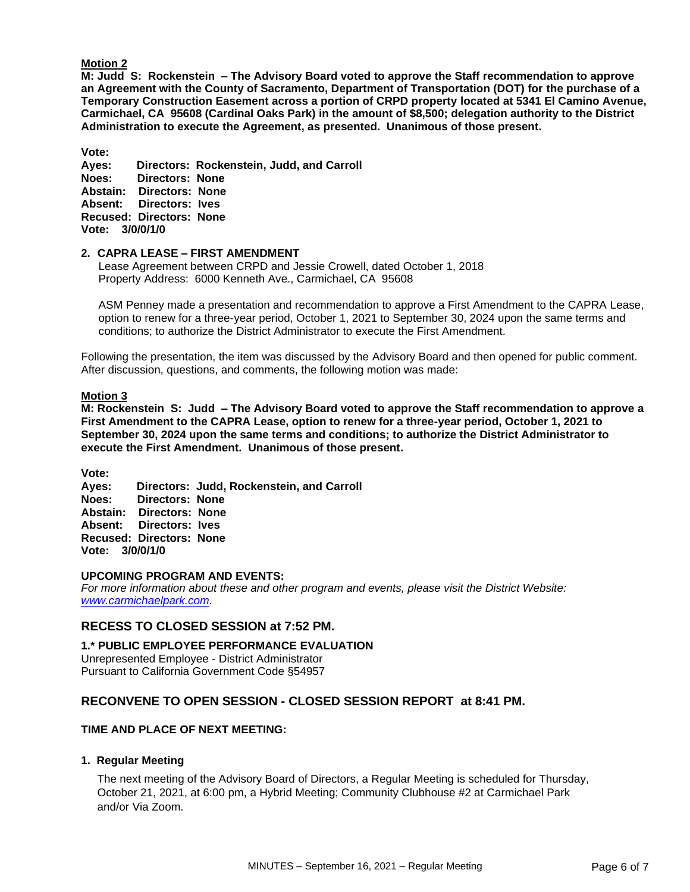#### **Motion 2**

**M: Judd S: Rockenstein – The Advisory Board voted to approve the Staff recommendation to approve an Agreement with the County of Sacramento, Department of Transportation (DOT) for the purchase of a Temporary Construction Easement across a portion of CRPD property located at 5341 El Camino Avenue, Carmichael, CA 95608 (Cardinal Oaks Park) in the amount of \$8,500; delegation authority to the District Administration to execute the Agreement, as presented. Unanimous of those present.** 

**Vote:** 

**Ayes: Directors: Rockenstein, Judd, and Carroll Noes: Directors: None Abstain: Directors: None Absent: Directors: Ives Recused: Directors: None Vote: 3/0/0/1/0**

#### **2. CAPRA LEASE – FIRST AMENDMENT**

Lease Agreement between CRPD and Jessie Crowell, dated October 1, 2018 Property Address: 6000 Kenneth Ave., Carmichael, CA 95608

ASM Penney made a presentation and recommendation to approve a First Amendment to the CAPRA Lease, option to renew for a three-year period, October 1, 2021 to September 30, 2024 upon the same terms and conditions; to authorize the District Administrator to execute the First Amendment.

Following the presentation, the item was discussed by the Advisory Board and then opened for public comment. After discussion, questions, and comments, the following motion was made:

#### **Motion 3**

**M: Rockenstein S: Judd – The Advisory Board voted to approve the Staff recommendation to approve a First Amendment to the CAPRA Lease, option to renew for a three-year period, October 1, 2021 to September 30, 2024 upon the same terms and conditions; to authorize the District Administrator to execute the First Amendment. Unanimous of those present.** 

**Vote:** 

**Ayes: Directors: Judd, Rockenstein, and Carroll Noes: Directors: None Abstain: Directors: None Absent: Directors: Ives Recused: Directors: None Vote: 3/0/0/1/0**

#### **UPCOMING PROGRAM AND EVENTS:**

*For more information about these and other program and events, please visit the District Website: [www.carmichaelpark.com.](http://www.carmichaelpark.com/)*

## **RECESS TO CLOSED SESSION at 7:52 PM.**

**1.\* PUBLIC EMPLOYEE PERFORMANCE EVALUATION** Unrepresented Employee - District Administrator Pursuant to California Government Code §54957

# **RECONVENE TO OPEN SESSION - CLOSED SESSION REPORT at 8:41 PM.**

#### **TIME AND PLACE OF NEXT MEETING:**

#### **1. Regular Meeting**

The next meeting of the Advisory Board of Directors, a Regular Meeting is scheduled for Thursday, October 21, 2021, at 6:00 pm, a Hybrid Meeting; Community Clubhouse #2 at Carmichael Park and/or Via Zoom.